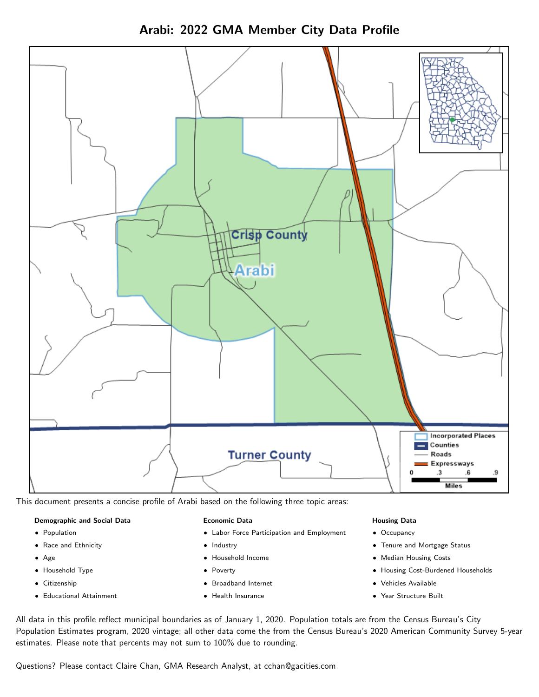



This document presents a concise profile of Arabi based on the following three topic areas:

# Demographic and Social Data

- **•** Population
- Race and Ethnicity
- Age
- Household Type
- **Citizenship**
- Educational Attainment

# Economic Data

- Labor Force Participation and Employment
- Industry
- Household Income
- Poverty
- Broadband Internet
- Health Insurance

# Housing Data

- Occupancy
- Tenure and Mortgage Status
- Median Housing Costs
- Housing Cost-Burdened Households
- Vehicles Available
- Year Structure Built

All data in this profile reflect municipal boundaries as of January 1, 2020. Population totals are from the Census Bureau's City Population Estimates program, 2020 vintage; all other data come the from the Census Bureau's 2020 American Community Survey 5-year estimates. Please note that percents may not sum to 100% due to rounding.

Questions? Please contact Claire Chan, GMA Research Analyst, at [cchan@gacities.com.](mailto:cchan@gacities.com)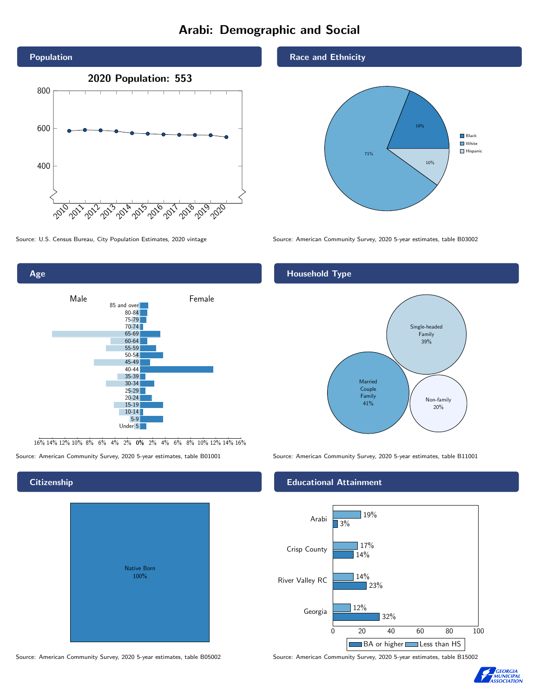# Arabi: Demographic and Social





16% 14% 12% 10% 8% 6% 4% 2% 0% 2% 4% 6% 8% 10% 12% 14% 16%

Source: American Community Survey, 2020 5-year estimates, table B01001 Source: American Community Survey, 2020 5-year estimates, table B11001

# Native Born 100%

# Race and Ethnicity



Source: U.S. Census Bureau, City Population Estimates, 2020 vintage Source: American Community Survey, 2020 5-year estimates, table B03002

# Household Type



#### Educational Attainment



Source: American Community Survey, 2020 5-year estimates, table B05002 Source: American Community Survey, 2020 5-year estimates, table B15002



# **Citizenship**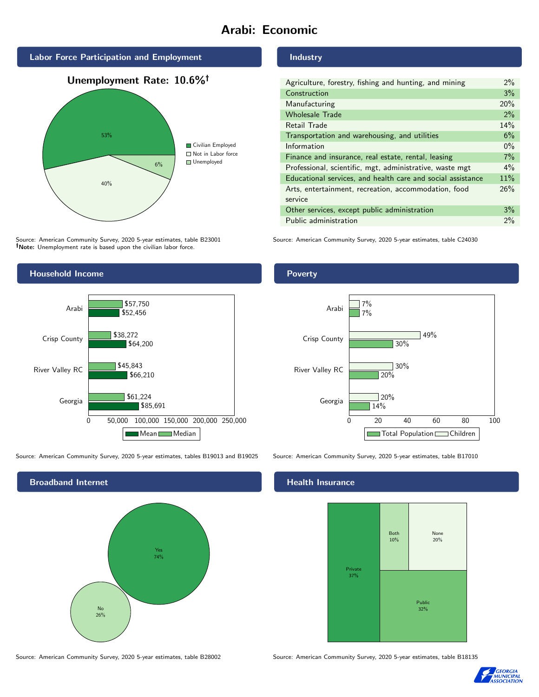# Arabi: Economic







Source: American Community Survey, 2020 5-year estimates, table B23001 Note: Unemployment rate is based upon the civilian labor force.

# Industry

| Agriculture, forestry, fishing and hunting, and mining      | $2\%$ |
|-------------------------------------------------------------|-------|
| Construction                                                | 3%    |
| Manufacturing                                               | 20%   |
| <b>Wholesale Trade</b>                                      | 2%    |
| Retail Trade                                                | 14%   |
| Transportation and warehousing, and utilities               | 6%    |
| Information                                                 | $0\%$ |
| Finance and insurance, real estate, rental, leasing         | 7%    |
| Professional, scientific, mgt, administrative, waste mgt    | $4\%$ |
| Educational services, and health care and social assistance | 11%   |
| Arts, entertainment, recreation, accommodation, food        | 26%   |
| service                                                     |       |
| Other services, except public administration                | 3%    |
| Public administration                                       | 2%    |

Source: American Community Survey, 2020 5-year estimates, table C24030



Source: American Community Survey, 2020 5-year estimates, tables B19013 and B19025 Source: American Community Survey, 2020 5-year estimates, table B17010



Source: American Community Survey, 2020 5-year estimates, table B28002 Source: American Community Survey, 2020 5-year estimates, table B18135

# **Health Insurance**